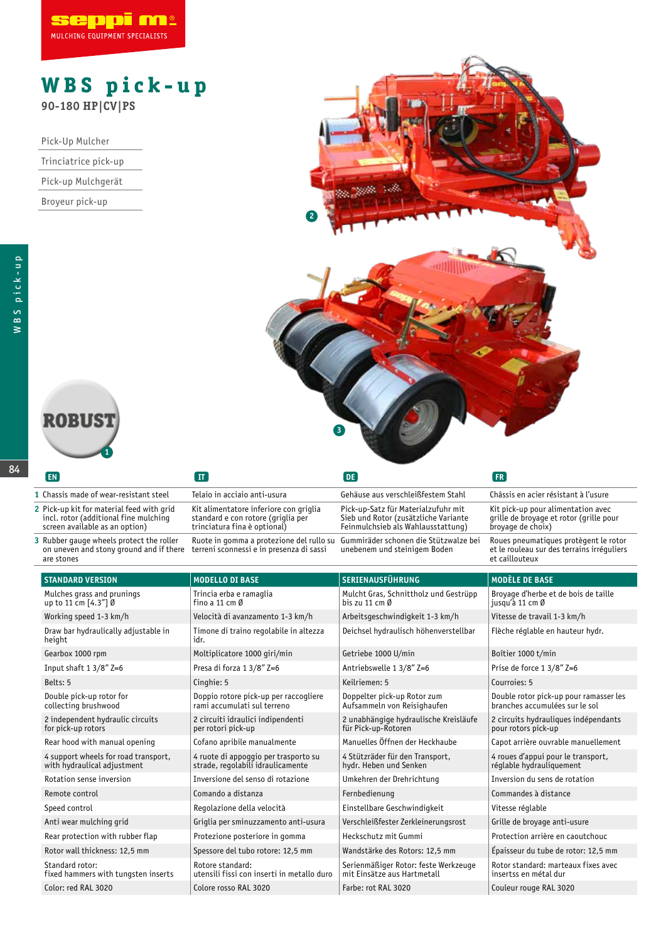

## **WBS pick-up 90-180 HP|CV|PS**

Pick-Up Mulcher

|  | Trinciatrice pick-up |
|--|----------------------|
|  |                      |

|  | Pick-up Mulchgerät |
|--|--------------------|
|--|--------------------|

Broyeur pick-up

84



| EN                                                                                                                   |                                                                                                              | DE.                                                                                                               | FR                                                                                                    |
|----------------------------------------------------------------------------------------------------------------------|--------------------------------------------------------------------------------------------------------------|-------------------------------------------------------------------------------------------------------------------|-------------------------------------------------------------------------------------------------------|
| 1 Chassis made of wear-resistant steel                                                                               | Telaio in acciaio anti-usura                                                                                 | Gehäuse aus verschleißfestem Stahl                                                                                | Châssis en acier résistant à l'usure                                                                  |
| 2 Pick-up kit for material feed with grid<br>incl. rotor (additional fine mulching<br>screen available as an option) | Kit alimentatore inferiore con griglia<br>standard e con rotore (griglia per<br>trinciatura fina è optional) | Pick-up-Satz für Materialzufuhr mit<br>Sieb und Rotor (zusätzliche Variante<br>Feinmulchsieb als Wahlausstattung) | Kit pick-up pour alimentation avec<br>grille de broyage et rotor (grille pour<br>broyage de choix)    |
| 3 Rubber gauge wheels protect the roller<br>on uneven and stony ground and if there<br>are stones                    | Ruote in gomma a protezione del rullo su<br>terreni sconnessi e in presenza di sassi                         | Gummiräder schonen die Stützwalze bei<br>unebenem und steinigem Boden                                             | Roues pneumatiques protègent le rotor<br>et le rouleau sur des terrains irréguliers<br>et caillouteux |

| <b>STANDARD VERSION</b>                                             | <b>MODELLO DI BASE</b>                                                    | <b>SERIENAUSFÜHRUNG</b>                                             | <b>MODÈLE DE BASE</b>                                                    |
|---------------------------------------------------------------------|---------------------------------------------------------------------------|---------------------------------------------------------------------|--------------------------------------------------------------------------|
| Mulches grass and prunings<br>up to 11 cm [4.3"] Ø                  | Trincia erba e ramaglia<br>fino a 11 cm $\emptyset$                       | Mulcht Gras, Schnittholz und Gestrüpp<br>bis zu 11 cm $\emptyset$   | Broyage d'herbe et de bois de taille<br>jusqu'à 11 cm Ø                  |
| Working speed 1-3 km/h                                              | Velocità di avanzamento 1-3 km/h                                          | Arbeitsgeschwindigkeit 1-3 km/h                                     | Vitesse de travail 1-3 km/h                                              |
| Draw bar hydraulically adjustable in<br>height                      | Timone di traino regolabile in altezza<br>idr.                            | Deichsel hydraulisch höhenverstellbar                               | Flèche réglable en hauteur hydr.                                         |
| Gearbox 1000 rpm                                                    | Moltiplicatore 1000 giri/min                                              | Getriebe 1000 U/min                                                 | Boîtier 1000 t/min                                                       |
| Input shaft $13/8$ " Z=6                                            | Presa di forza 1 3/8" Z=6                                                 | Antriebswelle 1 3/8" Z=6                                            | Prise de force 1 3/8" Z=6                                                |
| Belts: 5                                                            | Cinghie: 5                                                                | Keilriemen: 5                                                       | Courroies: 5                                                             |
| Double pick-up rotor for<br>collecting brushwood                    | Doppio rotore pick-up per raccogliere<br>rami accumulati sul terreno      | Doppelter pick-up Rotor zum<br>Aufsammeln von Reisighaufen          | Double rotor pick-up pour ramasser les<br>branches accumulées sur le sol |
| 2 independent hydraulic circuits<br>for pick-up rotors              | 2 circuiti idraulici indipendenti<br>per rotori pick-up                   | 2 unabhängige hydraulische Kreisläufe<br>für Pick-up-Rotoren        | 2 circuits hydrauliques indépendants<br>pour rotors pick-up              |
| Rear hood with manual opening                                       | Cofano apribile manualmente                                               | Manuelles Öffnen der Heckhaube                                      | Capot arrière ouvrable manuellement                                      |
| 4 support wheels for road transport,<br>with hydraulical adjustment | 4 ruote di appoggio per trasporto su<br>strade, regolabili idraulicamente | 4 Stützräder für den Transport,<br>hydr. Heben und Senken           | 4 roues d'appui pour le transport,<br>réglable hydrauliquement           |
| Rotation sense inversion                                            | Inversione del senso di rotazione                                         | Umkehren der Drehrichtung                                           | Inversion du sens de rotation                                            |
| Remote control                                                      | Comando a distanza                                                        | Fernbedienung                                                       | Commandes à distance                                                     |
| Speed control                                                       | Regolazione della velocità                                                | Einstellbare Geschwindigkeit                                        | Vitesse réglable                                                         |
| Anti wear mulching grid                                             | Griglia per sminuzzamento anti-usura                                      | Verschleißfester Zerkleinerungsrost                                 | Grille de broyage anti-usure                                             |
| Rear protection with rubber flap                                    | Protezione posteriore in gomma                                            | Heckschutz mit Gummi                                                | Protection arrière en caoutchouc                                         |
| Rotor wall thickness: 12.5 mm                                       | Spessore del tubo rotore: 12,5 mm                                         | Wandstärke des Rotors: 12,5 mm                                      | Épaisseur du tube de rotor: 12,5 mm                                      |
| Standard rotor:<br>fixed hammers with tungsten inserts              | Rotore standard:<br>utensili fissi con inserti in metallo duro            | Serienmäßiger Rotor: feste Werkzeuge<br>mit Einsätze aus Hartmetall | Rotor standard: marteaux fixes avec<br>insertss en métal dur             |
| Color: red RAL 3020                                                 | Colore rosso RAL 3020                                                     | Farbe: rot RAL 3020                                                 | Couleur rouge RAL 3020                                                   |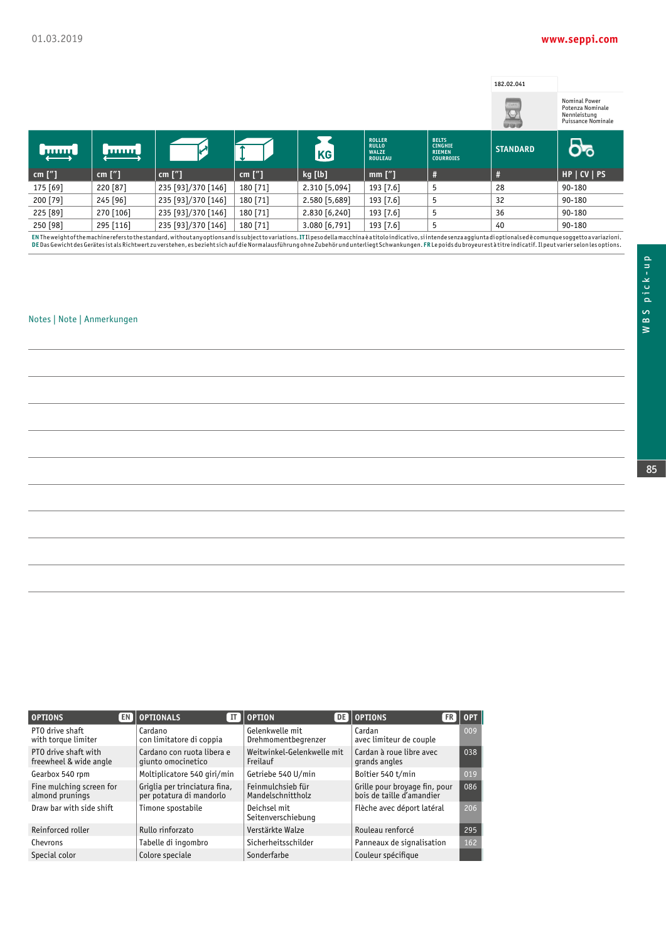## **www.seppi.com**

|               |               |                    |           |               |                                                                 |                                                                     | 182.02.041      |                                                                         |
|---------------|---------------|--------------------|-----------|---------------|-----------------------------------------------------------------|---------------------------------------------------------------------|-----------------|-------------------------------------------------------------------------|
|               |               |                    |           |               |                                                                 |                                                                     | UVI             | Nominal Power<br>Potenza Nominale<br>Nennleistung<br>Puissance Nominale |
| <b>Limits</b> | <b>TUTTUE</b> |                    |           | KG            | <b>ROLLER</b><br><b>RULLO</b><br><b>WALZE</b><br><b>ROULEAU</b> | <b>BELTS</b><br><b>CINGHIE</b><br><b>RIEMEN</b><br><b>COURROIES</b> | <b>STANDARD</b> |                                                                         |
| cm $['']$     | cm $['']$     | cm $['']$          | cm $['']$ | kg [lb]       | $mm$ ["]                                                        | #                                                                   | #               | HP   CV   PS                                                            |
| 175 [69]      | 220 [87]      | 235 [93]/370 [146] | 180 [71]  | 2.310 [5,094] | 193 [7.6]                                                       | 5                                                                   | 28              | 90-180                                                                  |
| 200 [79]      | 245 [96]      | 235 [93]/370 [146] | 180 [71]  | 2.580 [5,689] | 193 [7.6]                                                       | 5                                                                   | 32              | 90-180                                                                  |

250 [98] 295 [116] 235 [93]/370 [146] 180 [71] 3.080 [6,791] 193 [7.6] 5 40 90-180 ENThe weight of the machine referstothe standard, without any options and is subject to variations. ITIL pesodella macchina è atitolo indicativo, si intende senza aggiuntadi optionalsed è comunque soggetto a variazioni.<br>DE

225 [89] 270 [106] 235 [93]/370 [146] 180 [71] 2.830 [6,240] 193 [7.6] 5 36 90-180

## Notes | Note | Anmerkungen

| <b>OPTIONS</b>                                 | <b>EN OPTIONALS</b><br>ΙT                                 | $\blacksquare$ OPTION                  | <b>DELOPTIONS</b>                                          | $ FR $ Opt . |
|------------------------------------------------|-----------------------------------------------------------|----------------------------------------|------------------------------------------------------------|--------------|
| PTO drive shaft<br>with torque limiter         | Cardano<br>con limitatore di coppia                       | Gelenkwelle mit<br>Drehmomentbegrenzer | Cardan<br>avec limiteur de couple                          | 009          |
| PTO drive shaft with<br>freewheel & wide angle | Cardano con ruota libera e<br>qiunto omocinetico          | Weitwinkel-Gelenkwelle mit<br>Freilauf | Cardan à roue libre avec<br>grands angles                  | 038          |
| Gearbox 540 rpm                                | Moltiplicatore 540 giri/min                               | Getriebe 540 U/min                     | Boîtier 540 t/min                                          | 019          |
| Fine mulching screen for<br>almond prunings    | Griglia per trinciatura fina,<br>per potatura di mandorlo | Feinmulchsieb für<br>Mandelschnittholz | Grille pour broyage fin, pour<br>bois de taille d'amandier | 086          |
| Draw bar with side shift                       | Timone spostabile                                         | Deichsel mit<br>Seitenverschiebung     | Flèche avec déport latéral                                 | 206          |
| Reinforced roller                              | Rullo rinforzato                                          | Verstärkte Walze                       | Rouleau renforcé                                           | 295          |
| Chevrons                                       | Tabelle di ingombro                                       | Sicherheitsschilder                    | Panneaux de signalisation                                  | 162          |
| Special color                                  | Colore speciale                                           | Sonderfarbe                            | Couleur spécifique                                         |              |